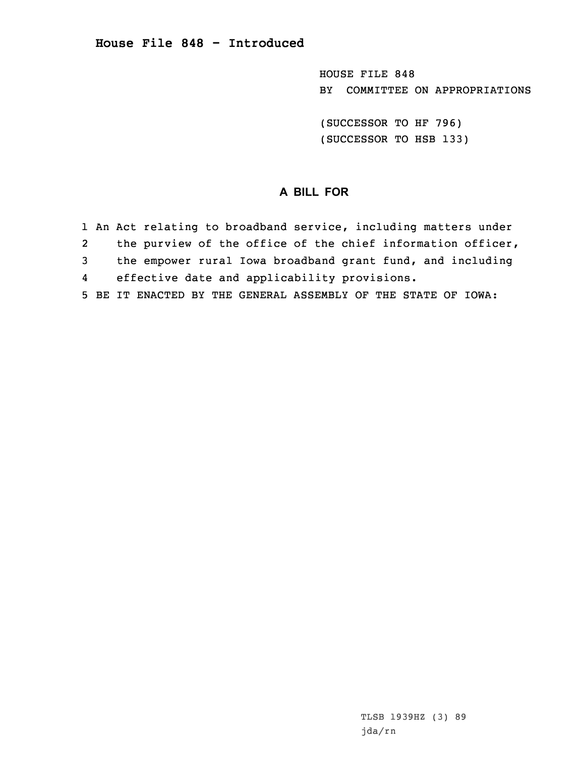HOUSE FILE 848 BY COMMITTEE ON APPROPRIATIONS

(SUCCESSOR TO HF 796) (SUCCESSOR TO HSB 133)

## **A BILL FOR**

1 An Act relating to broadband service, including matters under 2 the purview of the office of the chief information officer, 3 the empower rural Iowa broadband grant fund, and including 4 effective date and applicability provisions. 5 BE IT ENACTED BY THE GENERAL ASSEMBLY OF THE STATE OF IOWA: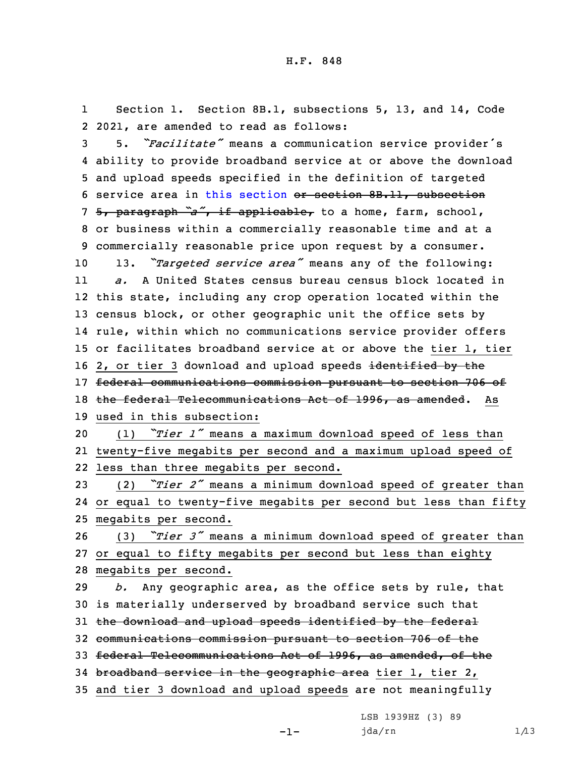1 Section 1. Section 8B.1, subsections 5, 13, and 14, Code 2 2021, are amended to read as follows:

 5. *"Facilitate"* means <sup>a</sup> communication service provider's ability to provide broadband service at or above the download and upload speeds specified in the definition of targeted service area in this [section](https://www.legis.iowa.gov/docs/code/2021/8B.1.pdf) or section 8B.11, subsection 5, paragraph *"a"*, if applicable, to <sup>a</sup> home, farm, school, or business within <sup>a</sup> commercially reasonable time and at <sup>a</sup> commercially reasonable price upon request by <sup>a</sup> consumer. 13. *"Targeted service area"* means any of the following: 11 *a.* A United States census bureau census block located in this state, including any crop operation located within the census block, or other geographic unit the office sets by rule, within which no communications service provider offers or facilitates broadband service at or above the tier 1, tier 16 2, or tier 3 download and upload speeds identified by the federal communications commission pursuant to section 706 of 18 the federal Telecommunications Act of 1996, as amended. As used in this subsection: (1) *"Tier <sup>1</sup>"* means <sup>a</sup> maximum download speed of less than

21 twenty-five megabits per second and <sup>a</sup> maximum upload speed of 22 less than three megabits per second.

<sup>23</sup> (2) *"Tier <sup>2</sup>"* means <sup>a</sup> minimum download speed of greater than 24 or equal to twenty-five megabits per second but less than fifty 25 megabits per second.

<sup>26</sup> (3) *"Tier <sup>3</sup>"* means <sup>a</sup> minimum download speed of greater than 27 or equal to fifty megabits per second but less than eighty 28 megabits per second.

 *b.* Any geographic area, as the office sets by rule, that is materially underserved by broadband service such that 31 the download and upload speeds identified by the federal communications commission pursuant to section 706 of the federal Telecommunications Act of 1996, as amended, of the 34 broadband service in the geographic area tier 1, tier 2, and tier 3 download and upload speeds are not meaningfully

LSB 1939HZ (3) 89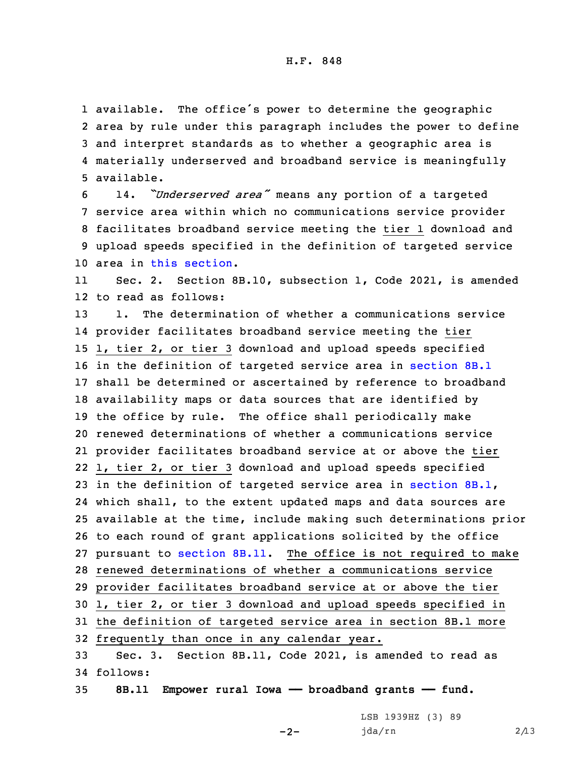available. The office's power to determine the geographic area by rule under this paragraph includes the power to define and interpret standards as to whether <sup>a</sup> geographic area is materially underserved and broadband service is meaningfully available.

 14. *"Underserved area"* means any portion of <sup>a</sup> targeted service area within which no communications service provider facilitates broadband service meeting the tier 1 download and upload speeds specified in the definition of targeted service area in this [section](https://www.legis.iowa.gov/docs/code/2021/8B.1.pdf).

11 Sec. 2. Section 8B.10, subsection 1, Code 2021, is amended 12 to read as follows:

 1. The determination of whether <sup>a</sup> communications service provider facilitates broadband service meeting the tier 1, tier 2, or tier 3 download and upload speeds specified in the definition of targeted service area in [section](https://www.legis.iowa.gov/docs/code/2021/8B.1.pdf) 8B.1 shall be determined or ascertained by reference to broadband availability maps or data sources that are identified by the office by rule. The office shall periodically make renewed determinations of whether <sup>a</sup> communications service provider facilitates broadband service at or above the tier 1, tier 2, or tier 3 download and upload speeds specified 23 in the definition of targeted service area in [section](https://www.legis.iowa.gov/docs/code/2021/8B.1.pdf) 8B.1, which shall, to the extent updated maps and data sources are available at the time, include making such determinations prior to each round of grant applications solicited by the office pursuant to [section](https://www.legis.iowa.gov/docs/code/2021/8B.11.pdf) 8B.11. The office is not required to make renewed determinations of whether <sup>a</sup> communications service provider facilitates broadband service at or above the tier 1, tier 2, or tier 3 download and upload speeds specified in the definition of targeted service area in section 8B.1 more frequently than once in any calendar year. Sec. 3. Section 8B.11, Code 2021, is amended to read as 34 follows:

35 **8B.11 Empower rural Iowa —— broadband grants —— fund.**

 $-2-$ 

LSB 1939HZ (3) 89 jda/rn 2/13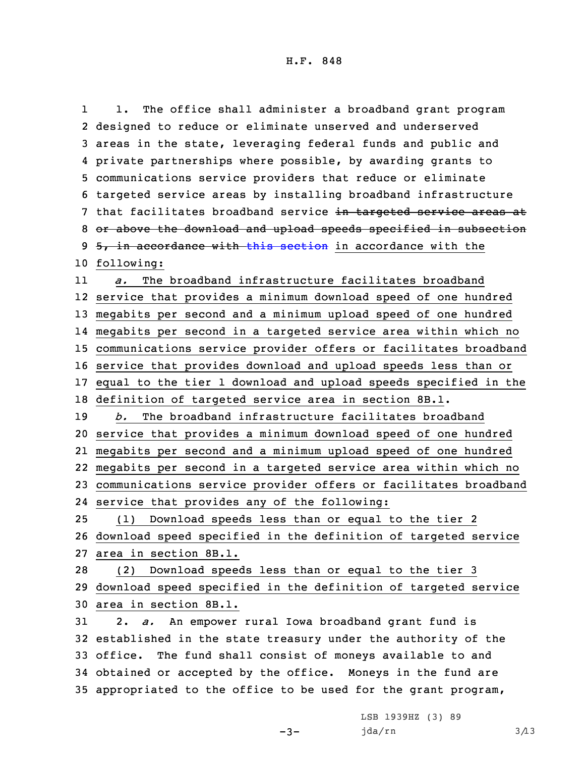1 1. The office shall administer <sup>a</sup> broadband grant program designed to reduce or eliminate unserved and underserved areas in the state, leveraging federal funds and public and private partnerships where possible, by awarding grants to communications service providers that reduce or eliminate targeted service areas by installing broadband infrastructure 7 that facilitates broadband service in targeted service areas at or above the download and upload speeds specified in subsection 9 5, in accordance with this [section](https://www.legis.iowa.gov/docs/code/2021/8B.11.pdf) in accordance with the following: 11 *a.* The broadband infrastructure facilitates broadband service that provides <sup>a</sup> minimum download speed of one hundred megabits per second and <sup>a</sup> minimum upload speed of one hundred megabits per second in <sup>a</sup> targeted service area within which no communications service provider offers or facilitates broadband service that provides download and upload speeds less than or equal to the tier 1 download and upload speeds specified in the definition of targeted service area in section 8B.1. *b.* The broadband infrastructure facilitates broadband service that provides <sup>a</sup> minimum download speed of one hundred megabits per second and <sup>a</sup> minimum upload speed of one hundred megabits per second in <sup>a</sup> targeted service area within which no communications service provider offers or facilitates broadband service that provides any of the following: (1) Download speeds less than or equal to the tier 2 download speed specified in the definition of targeted service area in section 8B.1. (2) Download speeds less than or equal to the tier 3 download speed specified in the definition of targeted service area in section 8B.1. 2. *a.* An empower rural Iowa broadband grant fund is established in the state treasury under the authority of the office. The fund shall consist of moneys available to and obtained or accepted by the office. Moneys in the fund are appropriated to the office to be used for the grant program,

 $-3-$ 

LSB 1939HZ (3) 89 jda/rn 3/13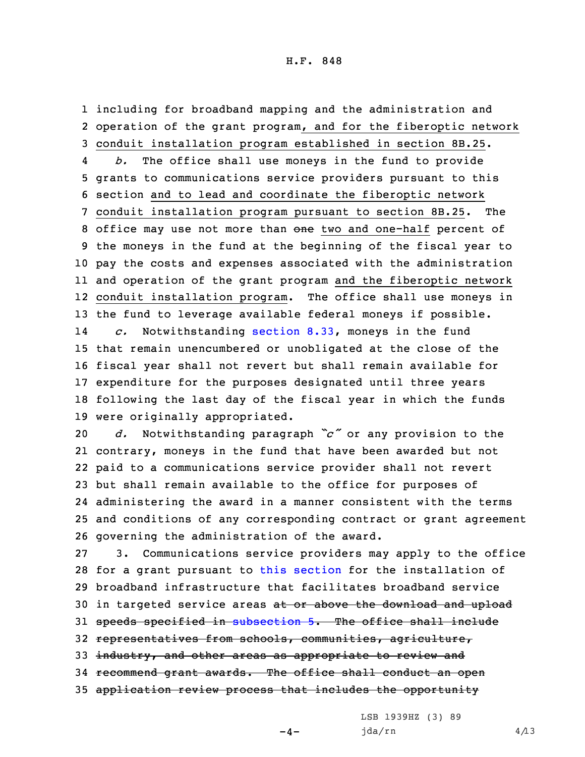1 including for broadband mapping and the administration and 2 operation of the grant program, and for the fiberoptic network 3 conduit installation program established in section 8B.25.

4 *b.* The office shall use moneys in the fund to provide grants to communications service providers pursuant to this section and to lead and coordinate the fiberoptic network conduit installation program pursuant to section 8B.25. The 8 office may use not more than one two and one-half percent of the moneys in the fund at the beginning of the fiscal year to pay the costs and expenses associated with the administration and operation of the grant program and the fiberoptic network conduit installation program. The office shall use moneys in the fund to leverage available federal moneys if possible. 14 *c.* Notwithstanding [section](https://www.legis.iowa.gov/docs/code/2021/8.33.pdf) 8.33, moneys in the fund that remain unencumbered or unobligated at the close of the fiscal year shall not revert but shall remain available for expenditure for the purposes designated until three years following the last day of the fiscal year in which the funds were originally appropriated.

 *d.* Notwithstanding paragraph *"c"* or any provision to the contrary, moneys in the fund that have been awarded but not paid to <sup>a</sup> communications service provider shall not revert but shall remain available to the office for purposes of administering the award in <sup>a</sup> manner consistent with the terms and conditions of any corresponding contract or grant agreement governing the administration of the award.

 3. Communications service providers may apply to the office for <sup>a</sup> grant pursuant to this [section](https://www.legis.iowa.gov/docs/code/2021/8B.11.pdf) for the installation of broadband infrastructure that facilitates broadband service 30 in targeted service areas at or above the download and upload 31 speeds specified in [subsection](https://www.legis.iowa.gov/docs/code/2021/8B.11.pdf) 5. The office shall include representatives from schools, communities, agriculture, 33 industry, and other areas as appropriate to review and recommend grant awards. The office shall conduct an open application review process that includes the opportunity

 $-4-$ 

LSB 1939HZ (3) 89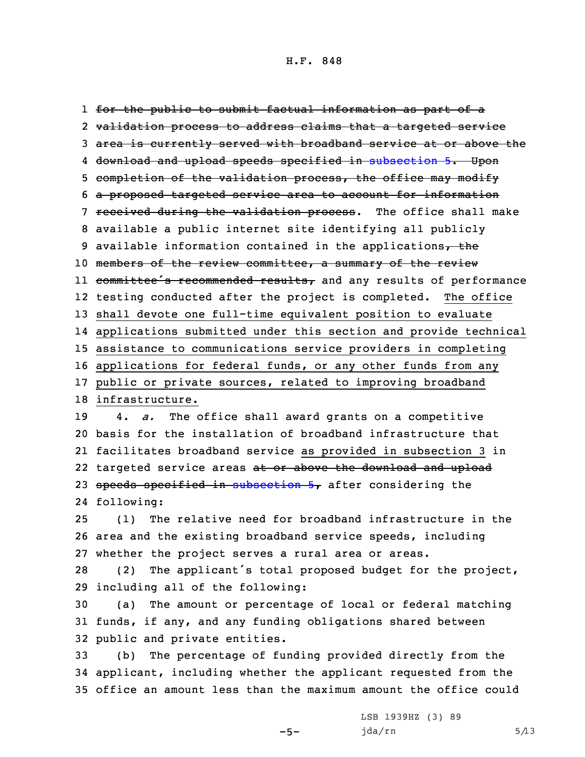for the public to submit factual information as part of <sup>a</sup> validation process to address claims that <sup>a</sup> targeted service area is currently served with broadband service at or above the download and upload speeds specified in [subsection](https://www.legis.iowa.gov/docs/code/2021/8B.11.pdf) 5. Upon 5 completion of the validation process, the office may modify <sup>a</sup> proposed targeted service area to account for information 7 received during the validation process. The office shall make available <sup>a</sup> public internet site identifying all publicly 9 available information contained in the applications, the 10 members of the review committee, a summary of the review 11 committee's recommended results, and any results of performance testing conducted after the project is completed. The office shall devote one full-time equivalent position to evaluate applications submitted under this section and provide technical assistance to communications service providers in completing applications for federal funds, or any other funds from any public or private sources, related to improving broadband infrastructure. 4. *a.* The office shall award grants on <sup>a</sup> competitive basis for the installation of broadband infrastructure that facilitates broadband service as provided in subsection 3 in 22 targeted service areas <del>at or above the download and upload</del> 23 speeds specified in [subsection](https://www.legis.iowa.gov/docs/code/2021/8B.11.pdf)  $5<sub>7</sub>$  after considering the following:

25 (1) The relative need for broadband infrastructure in the 26 area and the existing broadband service speeds, including 27 whether the project serves <sup>a</sup> rural area or areas.

<sup>28</sup> (2) The applicant's total proposed budget for the project, 29 including all of the following:

30 (a) The amount or percentage of local or federal matching 31 funds, if any, and any funding obligations shared between 32 public and private entities.

33 (b) The percentage of funding provided directly from the 34 applicant, including whether the applicant requested from the 35 office an amount less than the maximum amount the office could

 $-5-$ 

LSB 1939HZ (3) 89  $jda/rn$  5/13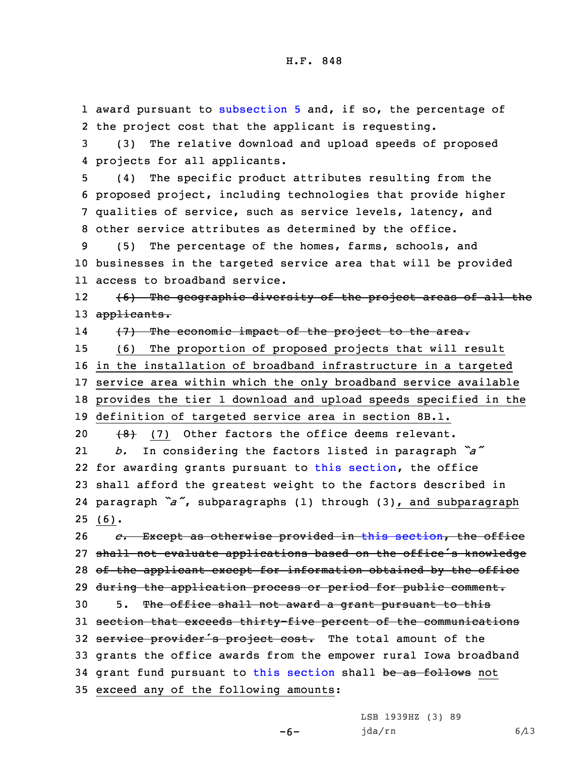award pursuant to [subsection](https://www.legis.iowa.gov/docs/code/2021/8B.11.pdf) 5 and, if so, the percentage of the project cost that the applicant is requesting. (3) The relative download and upload speeds of proposed projects for all applicants. (4) The specific product attributes resulting from the proposed project, including technologies that provide higher qualities of service, such as service levels, latency, and other service attributes as determined by the office. (5) The percentage of the homes, farms, schools, and businesses in the targeted service area that will be provided access to broadband service. 12 (6) The geographic diversity of the project areas of all the 13 applicants. 14 (7) The economic impact of the project to the area. (6) The proportion of proposed projects that will result in the installation of broadband infrastructure in <sup>a</sup> targeted service area within which the only broadband service available provides the tier 1 download and upload speeds specified in the definition of targeted service area in section 8B.1.  $(8)$  (7) Other factors the office deems relevant. 21 *b.* In considering the factors listed in paragraph *"a"* for awarding grants pursuant to this [section](https://www.legis.iowa.gov/docs/code/2021/8B.11.pdf), the office shall afford the greatest weight to the factors described in paragraph *"a"*, subparagraphs (1) through (3), and subparagraph 25 (6). *c.* Except as otherwise provided in this [section](https://www.legis.iowa.gov/docs/code/2021/8B.11.pdf), the office shall not evaluate applications based on the office's knowledge 28 of the applicant except for information obtained by the office 29 during the application process or period for public comment. 5. The office shall not award <sup>a</sup> grant pursuant to this section that exceeds thirty-five percent of the communications 32 service provider's project cost. The total amount of the grants the office awards from the empower rural Iowa broadband 34 grant fund pursuant to this [section](https://www.legis.iowa.gov/docs/code/2021/8B.11.pdf) shall be as follows not exceed any of the following amounts:

-6-

LSB 1939HZ (3) 89  $jda/rn$  6/13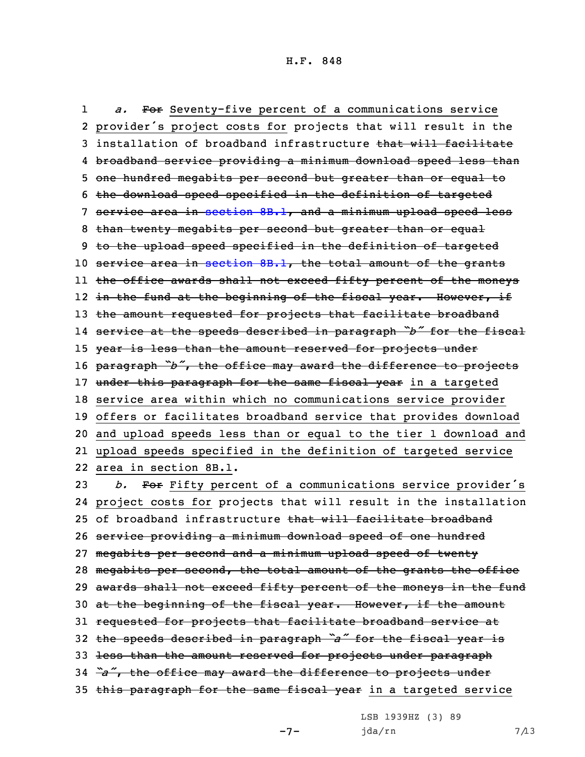1 *a.* For Seventy-five percent of <sup>a</sup> communications service provider's project costs for projects that will result in the 3 installation of broadband infrastructure that will facilitate broadband service providing <sup>a</sup> minimum download speed less than one hundred megabits per second but greater than or equal to the download speed specified in the definition of targeted service area in [section](https://www.legis.iowa.gov/docs/code/2021/8B.1.pdf) 8B.1, and <sup>a</sup> minimum upload speed less 8 than twenty megabits per second but greater than or equal 9 to the upload speed specified in the definition of targeted 10 service area in [section](https://www.legis.iowa.gov/docs/code/2021/8B.1.pdf) 8B.1, the total amount of the grants the office awards shall not exceed fifty percent of the moneys l2 <del>in the fund at the beginning of the fiscal year. However, if</del> 13 the amount requested for projects that facilitate broadband service at the speeds described in paragraph *"b"* for the fiscal 15 year is less than the amount reserved for projects under paragraph *"b"*, the office may award the difference to projects 17 under this paragraph for the same fiscal year in a targeted service area within which no communications service provider offers or facilitates broadband service that provides download and upload speeds less than or equal to the tier 1 download and upload speeds specified in the definition of targeted service area in section 8B.1. *b.* For Fifty percent of <sup>a</sup> communications service provider's project costs for projects that will result in the installation 25 of broadband infrastructure that will facilitate broadband service providing <sup>a</sup> minimum download speed of one hundred megabits per second and <sup>a</sup> minimum upload speed of twenty megabits per second, the total amount of the grants the office

29 awards shall not exceed fifty percent of the moneys in the fund

30 at the beginning of the fiscal year. However, if the amount

31 requested for projects that facilitate broadband service at

<sup>32</sup> the speeds described in paragraph *"a"* for the fiscal year is

33 less than the amount reserved for projects under paragraph

<sup>34</sup> *"a"*, the office may award the difference to projects under

35 this paragraph for the same fiscal year in a targeted service

 $-7-$ 

LSB 1939HZ (3) 89

 $jda/rn$  7/13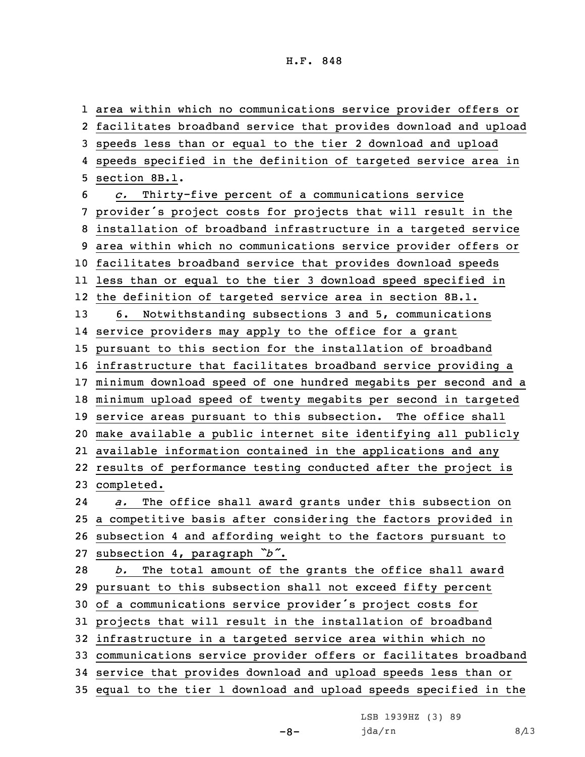area within which no communications service provider offers or facilitates broadband service that provides download and upload speeds less than or equal to the tier 2 download and upload speeds specified in the definition of targeted service area in section 8B.1. *c.* Thirty-five percent of <sup>a</sup> communications service provider's project costs for projects that will result in the installation of broadband infrastructure in <sup>a</sup> targeted service area within which no communications service provider offers or facilitates broadband service that provides download speeds less than or equal to the tier 3 download speed specified in the definition of targeted service area in section 8B.1. 6. Notwithstanding subsections 3 and 5, communications service providers may apply to the office for <sup>a</sup> grant pursuant to this section for the installation of broadband infrastructure that facilitates broadband service providing <sup>a</sup> minimum download speed of one hundred megabits per second and <sup>a</sup> minimum upload speed of twenty megabits per second in targeted service areas pursuant to this subsection. The office shall make available <sup>a</sup> public internet site identifying all publicly available information contained in the applications and any results of performance testing conducted after the project is completed. 24 *a.* The office shall award grants under this subsection on <sup>a</sup> competitive basis after considering the factors provided in subsection 4 and affording weight to the factors pursuant to subsection 4, paragraph *"b"*. *b.* The total amount of the grants the office shall award pursuant to this subsection shall not exceed fifty percent of <sup>a</sup> communications service provider's project costs for projects that will result in the installation of broadband infrastructure in <sup>a</sup> targeted service area within which no communications service provider offers or facilitates broadband service that provides download and upload speeds less than or equal to the tier 1 download and upload speeds specified in the

LSB 1939HZ (3) 89

 $-8-$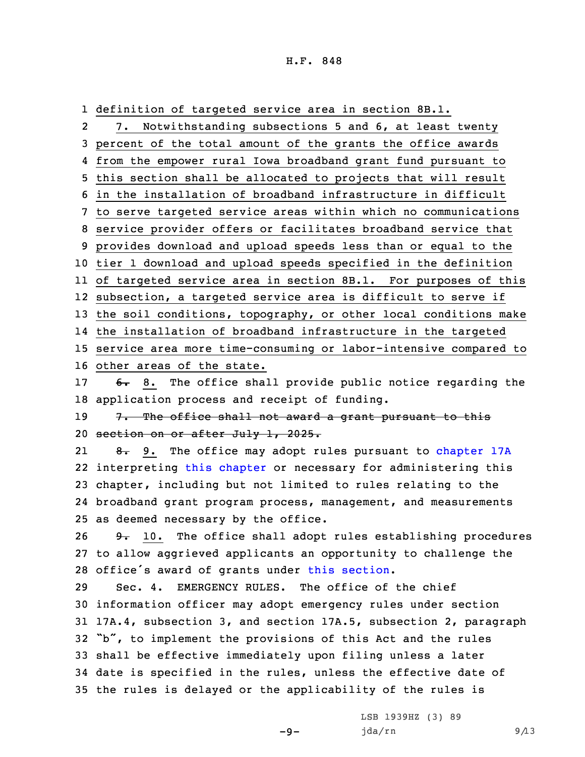1 definition of targeted service area in section 8B.1.

2 7. Notwithstanding subsections 5 and 6, at least twenty percent of the total amount of the grants the office awards from the empower rural Iowa broadband grant fund pursuant to this section shall be allocated to projects that will result in the installation of broadband infrastructure in difficult to serve targeted service areas within which no communications service provider offers or facilitates broadband service that provides download and upload speeds less than or equal to the tier 1 download and upload speeds specified in the definition of targeted service area in section 8B.1. For purposes of this subsection, <sup>a</sup> targeted service area is difficult to serve if the soil conditions, topography, or other local conditions make the installation of broadband infrastructure in the targeted service area more time-consuming or labor-intensive compared to other areas of the state. 17 6. 8. The office shall provide public notice regarding the application process and receipt of funding. 19 7. The office shall not award a grant pursuant to this section on or after July 1, 2025. 218. 9. The office may adopt rules pursuant to [chapter](https://www.legis.iowa.gov/docs/code/2021/17A.pdf) 17A interpreting this [chapter](https://www.legis.iowa.gov/docs/code/2021/8B.pdf) or necessary for administering this chapter, including but not limited to rules relating to the broadband grant program process, management, and measurements

25 as deemed necessary by the office.

26  $9 - 10$ . The office shall adopt rules establishing procedures 27 to allow aggrieved applicants an opportunity to challenge the <sup>28</sup> office's award of grants under this [section](https://www.legis.iowa.gov/docs/code/2021/8B.11.pdf).

 Sec. 4. EMERGENCY RULES. The office of the chief information officer may adopt emergency rules under section 17A.4, subsection 3, and section 17A.5, subsection 2, paragraph "b", to implement the provisions of this Act and the rules shall be effective immediately upon filing unless <sup>a</sup> later date is specified in the rules, unless the effective date of the rules is delayed or the applicability of the rules is

 $-9-$ 

LSB 1939HZ (3) 89 jda/rn 9/13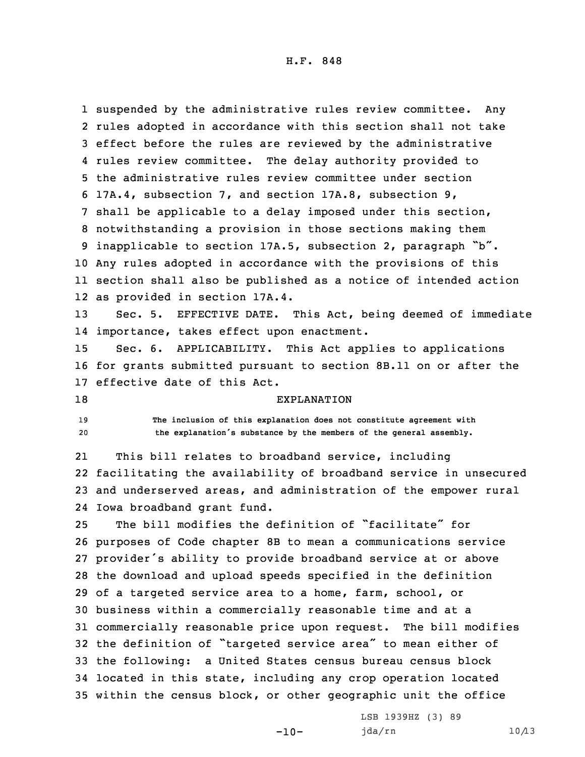suspended by the administrative rules review committee. Any rules adopted in accordance with this section shall not take effect before the rules are reviewed by the administrative rules review committee. The delay authority provided to the administrative rules review committee under section 17A.4, subsection 7, and section 17A.8, subsection 9, shall be applicable to <sup>a</sup> delay imposed under this section, notwithstanding <sup>a</sup> provision in those sections making them inapplicable to section 17A.5, subsection 2, paragraph "b". Any rules adopted in accordance with the provisions of this section shall also be published as <sup>a</sup> notice of intended action as provided in section 17A.4.

13 Sec. 5. EFFECTIVE DATE. This Act, being deemed of immediate 14 importance, takes effect upon enactment.

15 Sec. 6. APPLICABILITY. This Act applies to applications 16 for grants submitted pursuant to section 8B.11 on or after the 17 effective date of this Act.

## 18 EXPLANATION

19 **The inclusion of this explanation does not constitute agreement with** <sup>20</sup> **the explanation's substance by the members of the general assembly.**

21 This bill relates to broadband service, including 22 facilitating the availability of broadband service in unsecured 23 and underserved areas, and administration of the empower rural 24 Iowa broadband grant fund.

 The bill modifies the definition of "facilitate" for purposes of Code chapter 8B to mean <sup>a</sup> communications service provider's ability to provide broadband service at or above the download and upload speeds specified in the definition of <sup>a</sup> targeted service area to <sup>a</sup> home, farm, school, or business within <sup>a</sup> commercially reasonable time and at <sup>a</sup> commercially reasonable price upon request. The bill modifies the definition of "targeted service area" to mean either of the following: <sup>a</sup> United States census bureau census block located in this state, including any crop operation located within the census block, or other geographic unit the office

 $-10-$ 

LSB 1939HZ (3) 89 jda/rn 10/13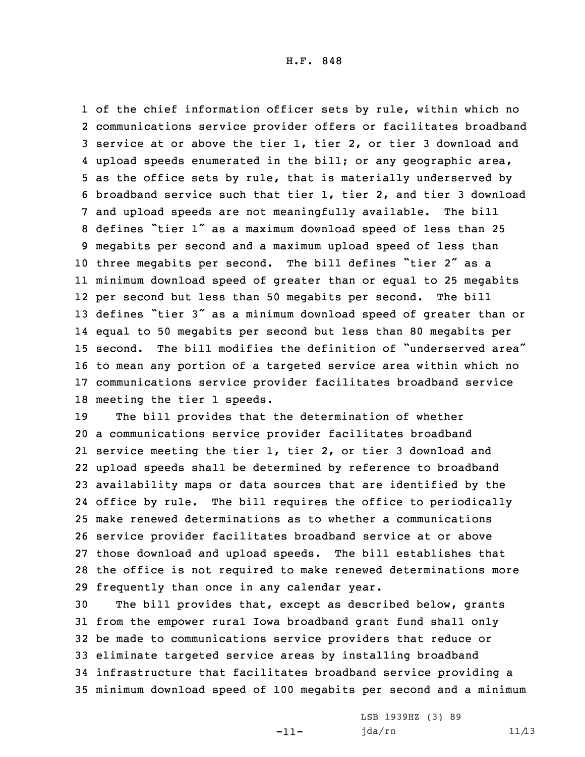of the chief information officer sets by rule, within which no communications service provider offers or facilitates broadband service at or above the tier 1, tier 2, or tier 3 download and upload speeds enumerated in the bill; or any geographic area, as the office sets by rule, that is materially underserved by broadband service such that tier 1, tier 2, and tier 3 download and upload speeds are not meaningfully available. The bill defines "tier <sup>1</sup>" as <sup>a</sup> maximum download speed of less than <sup>25</sup> megabits per second and <sup>a</sup> maximum upload speed of less than three megabits per second. The bill defines "tier <sup>2</sup>" as <sup>a</sup> minimum download speed of greater than or equal to 25 megabits per second but less than 50 megabits per second. The bill defines "tier <sup>3</sup>" as <sup>a</sup> minimum download speed of greater than or equal to 50 megabits per second but less than 80 megabits per second. The bill modifies the definition of "underserved area" to mean any portion of <sup>a</sup> targeted service area within which no communications service provider facilitates broadband service meeting the tier 1 speeds.

 The bill provides that the determination of whether <sup>a</sup> communications service provider facilitates broadband service meeting the tier 1, tier 2, or tier 3 download and upload speeds shall be determined by reference to broadband availability maps or data sources that are identified by the office by rule. The bill requires the office to periodically make renewed determinations as to whether <sup>a</sup> communications service provider facilitates broadband service at or above those download and upload speeds. The bill establishes that the office is not required to make renewed determinations more frequently than once in any calendar year.

 The bill provides that, except as described below, grants from the empower rural Iowa broadband grant fund shall only be made to communications service providers that reduce or eliminate targeted service areas by installing broadband infrastructure that facilitates broadband service providing <sup>a</sup> minimum download speed of 100 megabits per second and <sup>a</sup> minimum

-11-

LSB 1939HZ (3) 89 jda/rn 11/13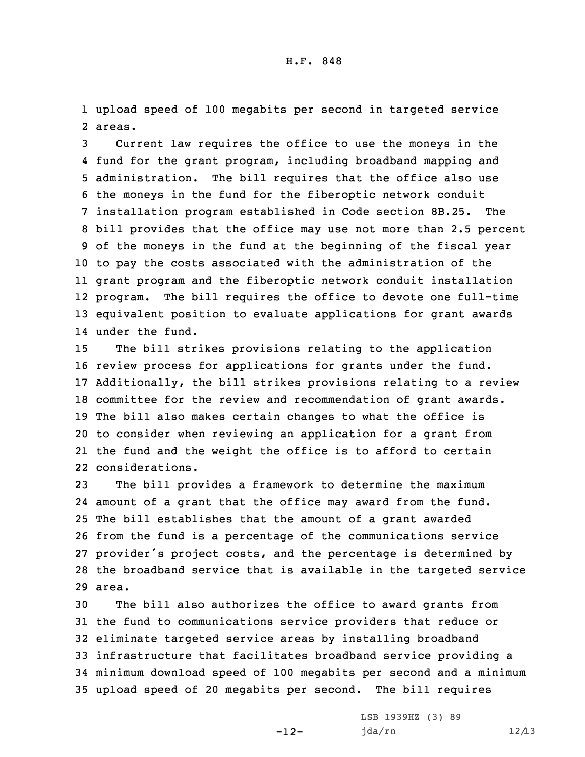1 upload speed of 100 megabits per second in targeted service 2 areas.

 Current law requires the office to use the moneys in the fund for the grant program, including broadband mapping and administration. The bill requires that the office also use the moneys in the fund for the fiberoptic network conduit installation program established in Code section 8B.25. The bill provides that the office may use not more than 2.5 percent of the moneys in the fund at the beginning of the fiscal year to pay the costs associated with the administration of the grant program and the fiberoptic network conduit installation program. The bill requires the office to devote one full-time equivalent position to evaluate applications for grant awards under the fund.

 The bill strikes provisions relating to the application review process for applications for grants under the fund. Additionally, the bill strikes provisions relating to <sup>a</sup> review committee for the review and recommendation of grant awards. The bill also makes certain changes to what the office is to consider when reviewing an application for <sup>a</sup> grant from the fund and the weight the office is to afford to certain considerations.

 The bill provides <sup>a</sup> framework to determine the maximum amount of <sup>a</sup> grant that the office may award from the fund. The bill establishes that the amount of <sup>a</sup> grant awarded from the fund is <sup>a</sup> percentage of the communications service provider's project costs, and the percentage is determined by the broadband service that is available in the targeted service 29 area.

 The bill also authorizes the office to award grants from the fund to communications service providers that reduce or eliminate targeted service areas by installing broadband infrastructure that facilitates broadband service providing <sup>a</sup> minimum download speed of 100 megabits per second and <sup>a</sup> minimum upload speed of 20 megabits per second. The bill requires

-12-

LSB 1939HZ (3) 89 jda/rn 12/13